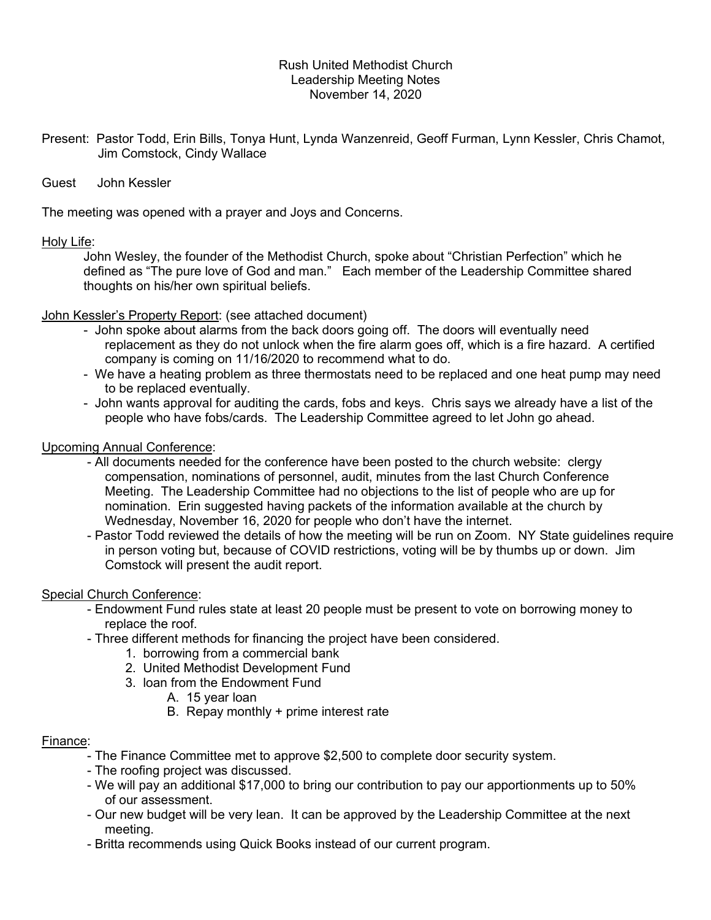## Rush United Methodist Church Leadership Meeting Notes November 14, 2020

- Present: Pastor Todd, Erin Bills, Tonya Hunt, Lynda Wanzenreid, Geoff Furman, Lynn Kessler, Chris Chamot, Jim Comstock, Cindy Wallace
- Guest John Kessler

The meeting was opened with a prayer and Joys and Concerns.

# Holy Life:

 John Wesley, the founder of the Methodist Church, spoke about "Christian Perfection" which he defined as "The pure love of God and man." Each member of the Leadership Committee shared thoughts on his/her own spiritual beliefs.

## John Kessler's Property Report: (see attached document)

- John spoke about alarms from the back doors going off. The doors will eventually need replacement as they do not unlock when the fire alarm goes off, which is a fire hazard. A certified company is coming on 11/16/2020 to recommend what to do.
- We have a heating problem as three thermostats need to be replaced and one heat pump may need to be replaced eventually.
- John wants approval for auditing the cards, fobs and keys. Chris says we already have a list of the people who have fobs/cards. The Leadership Committee agreed to let John go ahead.

## Upcoming Annual Conference:

- All documents needed for the conference have been posted to the church website: clergy compensation, nominations of personnel, audit, minutes from the last Church Conference Meeting. The Leadership Committee had no objections to the list of people who are up for nomination. Erin suggested having packets of the information available at the church by Wednesday, November 16, 2020 for people who don't have the internet.
- Pastor Todd reviewed the details of how the meeting will be run on Zoom. NY State guidelines require in person voting but, because of COVID restrictions, voting will be by thumbs up or down. Jim Comstock will present the audit report.

# Special Church Conference:

- Endowment Fund rules state at least 20 people must be present to vote on borrowing money to replace the roof.
- Three different methods for financing the project have been considered.
	- 1. borrowing from a commercial bank
	- 2. United Methodist Development Fund
	- 3. loan from the Endowment Fund
		- A. 15 year loan
		- B. Repay monthly + prime interest rate

#### Finance:

- The Finance Committee met to approve \$2,500 to complete door security system.
- The roofing project was discussed.
- We will pay an additional \$17,000 to bring our contribution to pay our apportionments up to 50% of our assessment.
- Our new budget will be very lean. It can be approved by the Leadership Committee at the next meeting.
- Britta recommends using Quick Books instead of our current program.